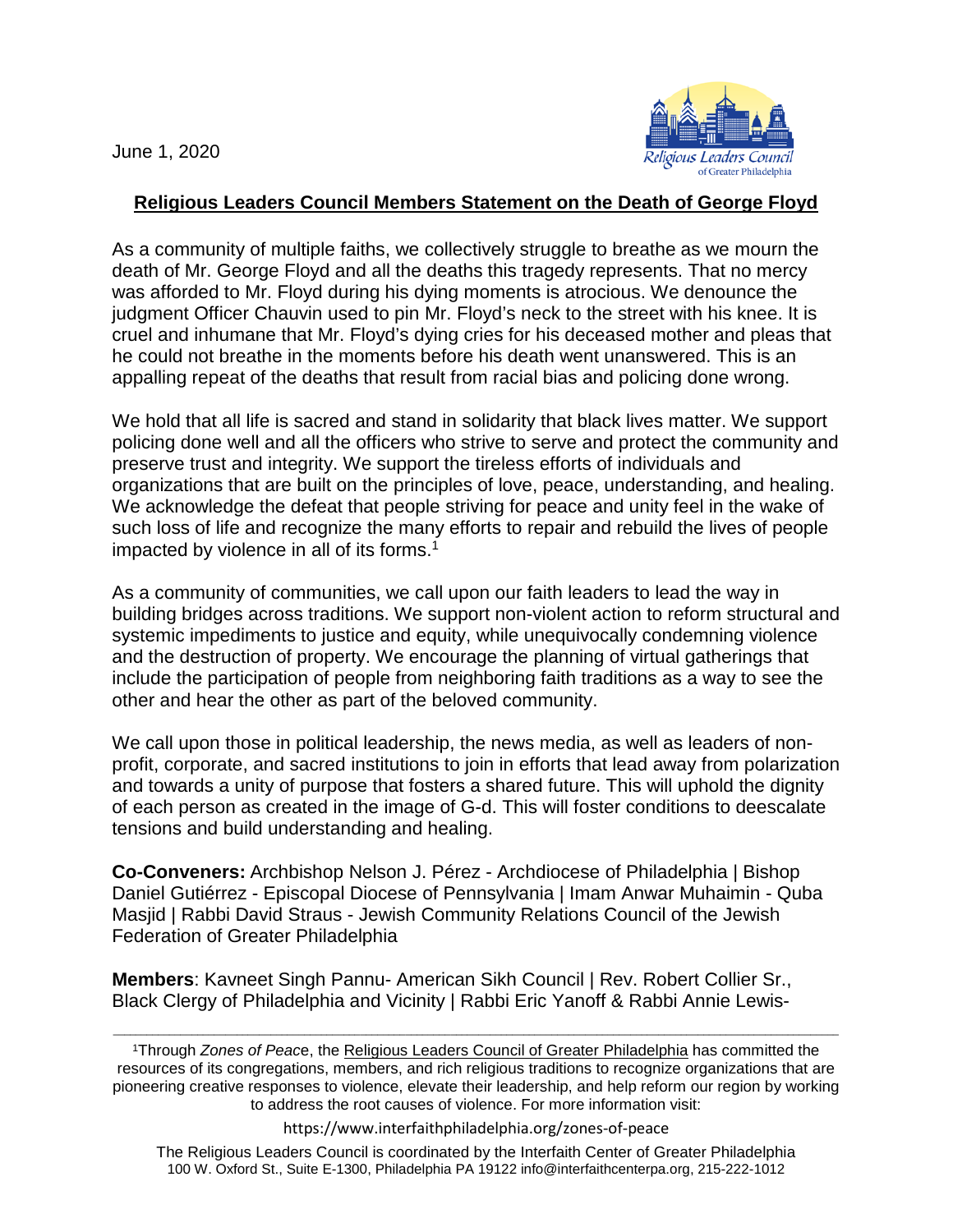June 1, 2020



## **Religious Leaders Council Members Statement on the Death of George Floyd**

As a community of multiple faiths, we collectively struggle to breathe as we mourn the death of Mr. George Floyd and all the deaths this tragedy represents. That no mercy was afforded to Mr. Floyd during his dying moments is atrocious. We denounce the judgment Officer Chauvin used to pin Mr. Floyd's neck to the street with his knee. It is cruel and inhumane that Mr. Floyd's dying cries for his deceased mother and pleas that he could not breathe in the moments before his death went unanswered. This is an appalling repeat of the deaths that result from racial bias and policing done wrong.

We hold that all life is sacred and stand in solidarity that black lives matter. We support policing done well and all the officers who strive to serve and protect the community and preserve trust and integrity. We support the tireless efforts of individuals and organizations that are built on the principles of love, peace, understanding, and healing. We acknowledge the defeat that people striving for peace and unity feel in the wake of such loss of life and recognize the many efforts to repair and rebuild the lives of people impacted by violence in all of its forms.<sup>1</sup>

As a community of communities, we call upon our faith leaders to lead the way in building bridges across traditions. We support non-violent action to reform structural and systemic impediments to justice and equity, while unequivocally condemning violence and the destruction of property. We encourage the planning of virtual gatherings that include the participation of people from neighboring faith traditions as a way to see the other and hear the other as part of the beloved community.

We call upon those in political leadership, the news media, as well as leaders of nonprofit, corporate, and sacred institutions to join in efforts that lead away from polarization and towards a unity of purpose that fosters a shared future. This will uphold the dignity of each person as created in the image of G-d. This will foster conditions to deescalate tensions and build understanding and healing.

**Co-Conveners:** Archbishop Nelson J. Pérez - Archdiocese of Philadelphia | Bishop Daniel Gutiérrez - Episcopal Diocese of Pennsylvania | Imam Anwar Muhaimin - Quba Masjid | Rabbi David Straus - Jewish Community Relations Council of the Jewish Federation of Greater Philadelphia

**Members**: Kavneet Singh Pannu- American Sikh Council | Rev. Robert Collier Sr., Black Clergy of Philadelphia and Vicinity | Rabbi Eric Yanoff & Rabbi Annie Lewis-

\_\_\_\_\_\_\_\_\_\_\_\_\_\_\_\_\_\_\_\_\_\_\_\_\_\_\_\_\_\_\_\_\_\_\_\_\_\_\_\_\_\_\_\_\_\_\_\_\_\_\_\_\_\_\_\_\_\_\_\_\_\_\_\_\_\_\_\_\_\_\_\_\_\_\_\_\_\_\_\_\_\_\_\_\_\_\_\_\_\_\_\_\_\_\_\_\_\_\_\_\_\_\_\_\_\_\_\_\_\_\_\_\_\_\_\_\_\_\_\_\_\_\_\_\_\_\_\_\_

https://www.interfaithphiladelphia.org/zones-of-peace

The Religious Leaders Council is coordinated by the Interfaith Center of Greater Philadelphia 100 W. Oxford St., Suite E-1300, Philadelphia PA 19122 info@interfaithcenterpa.org, 215-222-1012

<sup>1</sup>Through *Zones of Peac*e, the Religious Leaders Council of Greater [Philadelphia](https://www.interfaithphiladelphia.org/council) has committed the resources of its congregations, members, and rich religious traditions to recognize organizations that are pioneering creative responses to violence, elevate their leadership, and help reform our region by working to address the root causes of violence. For more information visit: